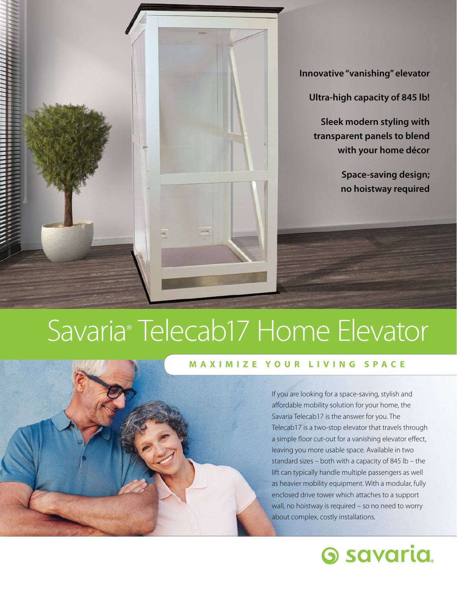

**Innovative "vanishing" elevator** 

**Ultra-high capacity of 845 lb!** 

**Sleek modern styling with transparent panels to blend with your home décor** 

> **Space-saving design; no hoistway required**

## Savaria® Telecab17 Home Elevator

#### **MAXIMIZE YOUR LIVING SPACE**

If you are looking for a space-saving, stylish and afordable mobility solution for your home, the Savaria Telecab17 is the answer for you. The Telecab17 is a two-stop elevator that travels through a simple floor cut-out for a vanishing elevator effect, leaving you more usable space. Available in two standard sizes – both with a capacity of 845 lb – the lift can typically handle multiple passengers as well as heavier mobility equipment. With a modular, fully enclosed drive tower which attaches to a support wall, no hoistway is required - so no need to worry about complex, costly installations.